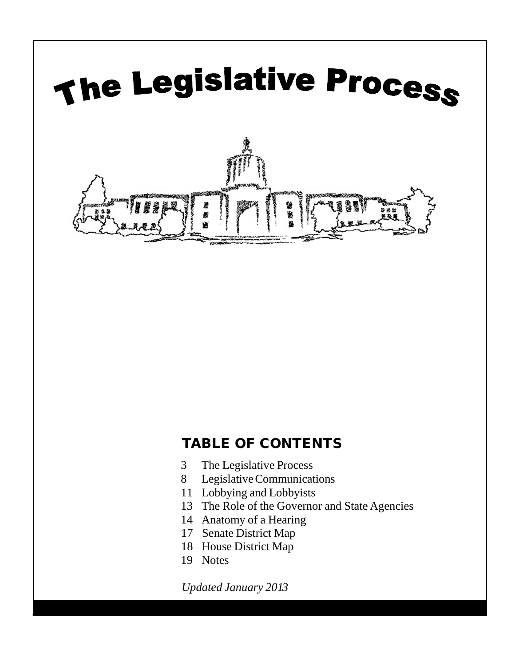

# TABLE OF CONTENTS

- 3 The Legislative Process
- 8 LegislativeCommunications
- 11 Lobbying and Lobbyists
- 13 The Role of the Governor and State Agencies
- 14 Anatomy of a Hearing
- 17 Senate District Map
- 18 House District Map
- 19 Notes

*Updated January 2013*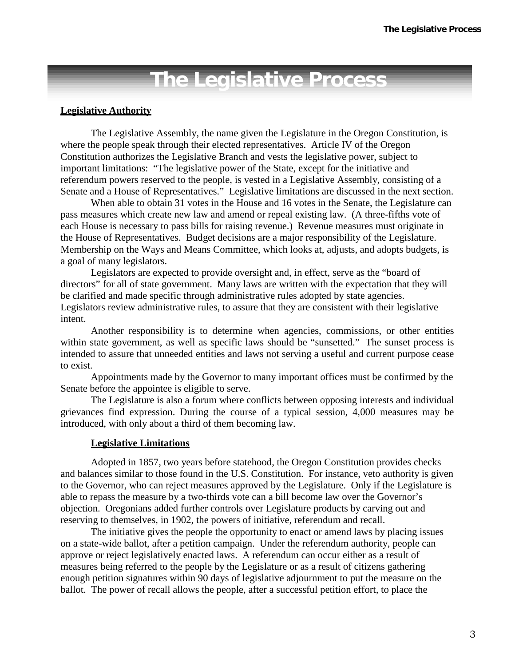# **The Legislative Process**

#### **Legislative Authority**

The Legislative Assembly, the name given the Legislature in the Oregon Constitution, is where the people speak through their elected representatives. Article IV of the Oregon Constitution authorizes the Legislative Branch and vests the legislative power, subject to important limitations: "The legislative power of the State, except for the initiative and referendum powers reserved to the people, is vested in a Legislative Assembly, consisting of a Senate and a House of Representatives." Legislative limitations are discussed in the next section.

When able to obtain 31 votes in the House and 16 votes in the Senate, the Legislature can pass measures which create new law and amend or repeal existing law. (A three-fifths vote of each House is necessary to pass bills for raising revenue.) Revenue measures must originate in the House of Representatives. Budget decisions are a major responsibility of the Legislature. Membership on the Ways and Means Committee, which looks at, adjusts, and adopts budgets, is a goal of many legislators.

Legislators are expected to provide oversight and, in effect, serve as the "board of directors" for all of state government. Many laws are written with the expectation that they will be clarified and made specific through administrative rules adopted by state agencies. Legislators review administrative rules, to assure that they are consistent with their legislative intent.

Another responsibility is to determine when agencies, commissions, or other entities within state government, as well as specific laws should be "sunsetted." The sunset process is intended to assure that unneeded entities and laws not serving a useful and current purpose cease to exist.

Appointments made by the Governor to many important offices must be confirmed by the Senate before the appointee is eligible to serve.

The Legislature is also a forum where conflicts between opposing interests and individual grievances find expression. During the course of a typical session, 4,000 measures may be introduced, with only about a third of them becoming law.

#### **Legislative Limitations**

Adopted in 1857, two years before statehood, the Oregon Constitution provides checks and balances similar to those found in the U.S. Constitution. For instance, veto authority is given to the Governor, who can reject measures approved by the Legislature. Only if the Legislature is able to repass the measure by a two-thirds vote can a bill become law over the Governor's objection. Oregonians added further controls over Legislature products by carving out and reserving to themselves, in 1902, the powers of initiative, referendum and recall.

The initiative gives the people the opportunity to enact or amend laws by placing issues on a state-wide ballot, after a petition campaign. Under the referendum authority, people can approve or reject legislatively enacted laws. A referendum can occur either as a result of measures being referred to the people by the Legislature or as a result of citizens gathering enough petition signatures within 90 days of legislative adjournment to put the measure on the ballot. The power of recall allows the people, after a successful petition effort, to place the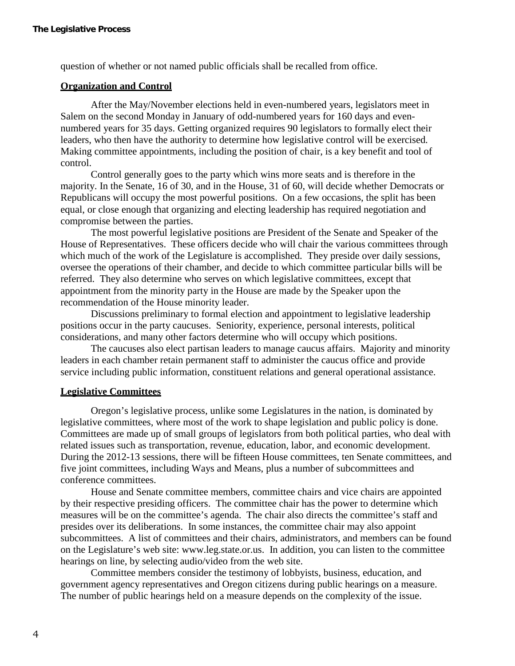question of whether or not named public officials shall be recalled from office.

# **Organization and Control**

After the May/November elections held in even-numbered years, legislators meet in Salem on the second Monday in January of odd-numbered years for 160 days and evennumbered years for 35 days. Getting organized requires 90 legislators to formally elect their leaders, who then have the authority to determine how legislative control will be exercised. Making committee appointments, including the position of chair, is a key benefit and tool of control.

Control generally goes to the party which wins more seats and is therefore in the majority. In the Senate, 16 of 30, and in the House, 31 of 60, will decide whether Democrats or Republicans will occupy the most powerful positions. On a few occasions, the split has been equal, or close enough that organizing and electing leadership has required negotiation and compromise between the parties.

The most powerful legislative positions are President of the Senate and Speaker of the House of Representatives. These officers decide who will chair the various committees through which much of the work of the Legislature is accomplished. They preside over daily sessions, oversee the operations of their chamber, and decide to which committee particular bills will be referred. They also determine who serves on which legislative committees, except that appointment from the minority party in the House are made by the Speaker upon the recommendation of the House minority leader.

Discussions preliminary to formal election and appointment to legislative leadership positions occur in the party caucuses. Seniority, experience, personal interests, political considerations, and many other factors determine who will occupy which positions.

The caucuses also elect partisan leaders to manage caucus affairs. Majority and minority leaders in each chamber retain permanent staff to administer the caucus office and provide service including public information, constituent relations and general operational assistance.

#### **Legislative Committees**

Oregon's legislative process, unlike some Legislatures in the nation, is dominated by legislative committees, where most of the work to shape legislation and public policy is done. Committees are made up of small groups of legislators from both political parties, who deal with related issues such as transportation, revenue, education, labor, and economic development. During the 2012-13 sessions, there will be fifteen House committees, ten Senate committees, and five joint committees, including Ways and Means, plus a number of subcommittees and conference committees.

House and Senate committee members, committee chairs and vice chairs are appointed by their respective presiding officers. The committee chair has the power to determine which measures will be on the committee's agenda. The chair also directs the committee's staff and presides over its deliberations. In some instances, the committee chair may also appoint subcommittees. A list of committees and their chairs, administrators, and members can be found on the Legislature's web [site: www.leg.state.or.us. I](http://www.leg.state.or.us/)n addition, you can listen to the committee hearings on line, by selecting audio/video from the web site.

Committee members consider the testimony of lobbyists, business, education, and government agency representatives and Oregon citizens during public hearings on a measure. The number of public hearings held on a measure depends on the complexity of the issue.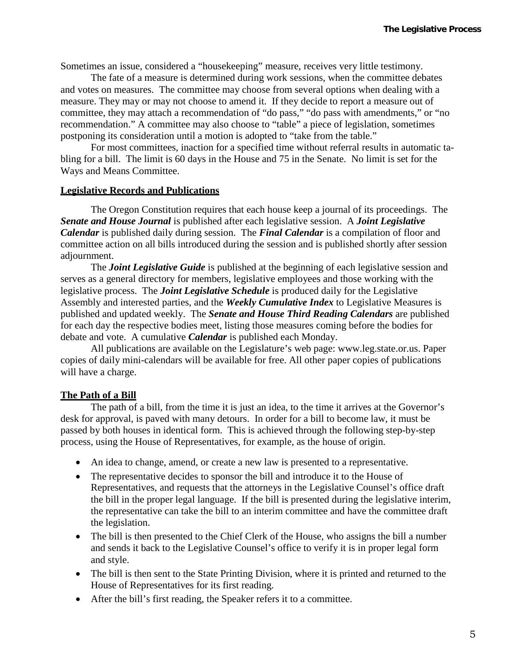Sometimes an issue, considered a "housekeeping" measure, receives very little testimony.

The fate of a measure is determined during work sessions, when the committee debates and votes on measures. The committee may choose from several options when dealing with a measure. They may or may not choose to amend it. If they decide to report a measure out of committee, they may attach a recommendation of "do pass," "do pass with amendments," or "no recommendation." A committee may also choose to "table" a piece of legislation, sometimes postponing its consideration until a motion is adopted to "take from the table."

For most committees, inaction for a specified time without referral results in automatic tabling for a bill. The limit is 60 days in the House and 75 in the Senate. No limit is set for the Ways and Means Committee.

#### **Legislative Records and Publications**

The Oregon Constitution requires that each house keep a journal of its proceedings. The *Senate and House Journal* is published after each legislative session. A *Joint Legislative Calendar* is published daily during session. The *Final Calendar* is a compilation of floor and committee action on all bills introduced during the session and is published shortly after session adjournment.

The *Joint Legislative Guide* is published at the beginning of each legislative session and serves as a general directory for members, legislative employees and those working with the legislative process. The *Joint Legislative Schedule* is produced daily for the Legislative Assembly and interested parties, and the *Weekly Cumulative Index* to Legislative Measures is published and updated weekly. The *Senate and House Third Reading Calendars* are published for each day the respective bodies meet, listing those measures coming before the bodies for debate and vote. A cumulative *Calendar* is published each Monday.

All publications are available on the Legislature's web page: [www.leg.state.or.us.](http://www.leg.state.or.us/) Paper copies of daily mini-calendars will be available for free. All other paper copies of publications will have a charge.

# **The Path of a Bill**

The path of a bill, from the time it is just an idea, to the time it arrives at the Governor's desk for approval, is paved with many detours. In order for a bill to become law, it must be passed by both houses in identical form. This is achieved through the following step-by-step process, using the House of Representatives, for example, as the house of origin.

- An idea to change, amend, or create a new law is presented to a representative.
- The representative decides to sponsor the bill and introduce it to the House of Representatives, and requests that the attorneys in the Legislative Counsel's office draft the bill in the proper legal language. If the bill is presented during the legislative interim, the representative can take the bill to an interim committee and have the committee draft the legislation.
- The bill is then presented to the Chief Clerk of the House, who assigns the bill a number and sends it back to the Legislative Counsel's office to verify it is in proper legal form and style.
- The bill is then sent to the State Printing Division, where it is printed and returned to the House of Representatives for its first reading.
- After the bill's first reading, the Speaker refers it to a committee.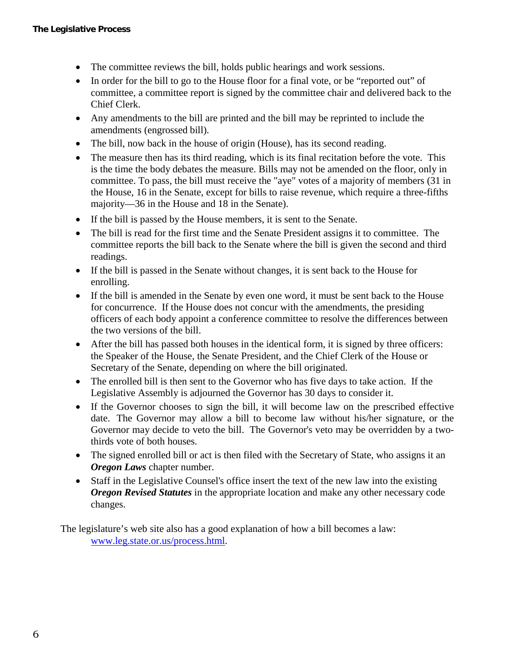- The committee reviews the bill, holds public hearings and work sessions.
- In order for the bill to go to the House floor for a final vote, or be "reported out" of committee, a committee report is signed by the committee chair and delivered back to the Chief Clerk.
- Any amendments to the bill are printed and the bill may be reprinted to include the amendments (engrossed bill).
- The bill, now back in the house of origin (House), has its second reading.
- The measure then has its third reading, which is its final recitation before the vote. This is the time the body debates the measure. Bills may not be amended on the floor, only in committee. To pass, the bill must receive the "aye" votes of a majority of members (31 in the House, 16 in the Senate, except for bills to raise revenue, which require a three-fifths majority—36 in the House and 18 in the Senate).
- If the bill is passed by the House members, it is sent to the Senate.
- The bill is read for the first time and the Senate President assigns it to committee. The committee reports the bill back to the Senate where the bill is given the second and third readings.
- If the bill is passed in the Senate without changes, it is sent back to the House for enrolling.
- If the bill is amended in the Senate by even one word, it must be sent back to the House for concurrence. If the House does not concur with the amendments, the presiding officers of each body appoint a conference committee to resolve the differences between the two versions of the bill.
- After the bill has passed both houses in the identical form, it is signed by three officers: the Speaker of the House, the Senate President, and the Chief Clerk of the House or Secretary of the Senate, depending on where the bill originated.
- The enrolled bill is then sent to the Governor who has five days to take action. If the Legislative Assembly is adjourned the Governor has 30 days to consider it.
- If the Governor chooses to sign the bill, it will become law on the prescribed effective date. The Governor may allow a bill to become law without his/her signature, or the Governor may decide to veto the bill. The Governor's veto may be overridden by a twothirds vote of both houses.
- The signed enrolled bill or act is then filed with the Secretary of State, who assigns it an *Oregon Laws* chapter number.
- Staff in the Legislative Counsel's office insert the text of the new law into the existing *Oregon Revised Statutes* in the appropriate location and make any other necessary code changes.

The legislature's web site also has a good explanation of how a bill becomes a law: [www.leg.state.or.us/process.html.](http://www.leg.state.or.us/process.html)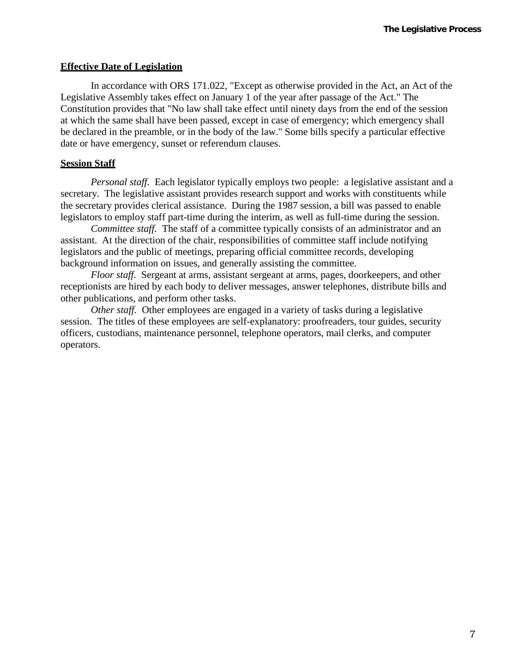# **Effective Date of Legislation**

In accordance with ORS 171.022, "Except as otherwise provided in the Act, an Act of the Legislative Assembly takes effect on January 1 of the year after passage of the Act." The Constitution provides that "No law shall take effect until ninety days from the end of the session at which the same shall have been passed, except in case of emergency; which emergency shall be declared in the preamble, or in the body of the law." Some bills specify a particular effective date or have emergency, sunset or referendum clauses.

# **Session Staff**

*Personal staff.* Each legislator typically employs two people: a legislative assistant and a secretary. The legislative assistant provides research support and works with constituents while the secretary provides clerical assistance. During the 1987 session, a bill was passed to enable legislators to employ staff part-time during the interim, as well as full-time during the session.

*Committee staff.* The staff of a committee typically consists of an administrator and an assistant. At the direction of the chair, responsibilities of committee staff include notifying legislators and the public of meetings, preparing official committee records, developing background information on issues, and generally assisting the committee.

*Floor staff.* Sergeant at arms, assistant sergeant at arms, pages, doorkeepers, and other receptionists are hired by each body to deliver messages, answer telephones, distribute bills and other publications, and perform other tasks.

*Other staff.* Other employees are engaged in a variety of tasks during a legislative session. The titles of these employees are self-explanatory: proofreaders, tour guides, security officers, custodians, maintenance personnel, telephone operators, mail clerks, and computer operators.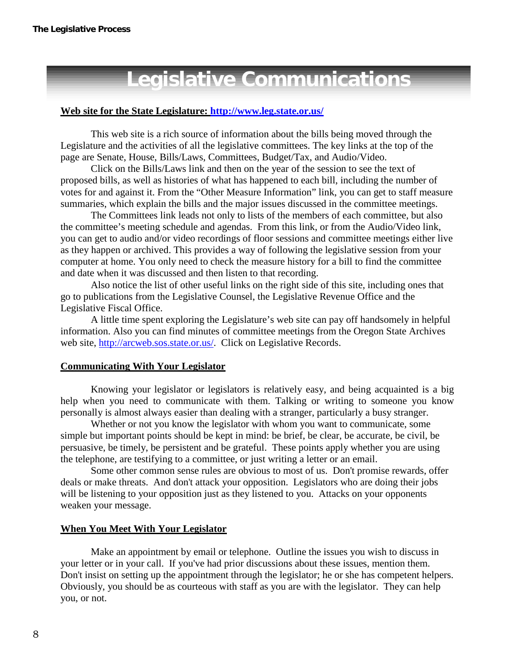# **Legislative Communications**

### **Web site for the State Legislature: <http://www.leg.state.or.us/>**

This web site is a rich source of information about the bills being moved through the Legislature and the activities of all the legislative committees. The key links at the top of the page are Senate, House, Bills/Laws, Committees, Budget/Tax, and Audio/Video.

Click on the Bills/Laws link and then on the year of the session to see the text of proposed bills, as well as histories of what has happened to each bill, including the number of votes for and against it. From the "Other Measure Information" link, you can get to staff measure summaries, which explain the bills and the major issues discussed in the committee meetings.

The Committees link leads not only to lists of the members of each committee, but also the committee's meeting schedule and agendas. From this link, or from the Audio/Video link, you can get to audio and/or video recordings of floor sessions and committee meetings either live as they happen or archived. This provides a way of following the legislative session from your computer at home. You only need to check the measure history for a bill to find the committee and date when it was discussed and then listen to that recording.

Also notice the list of other useful links on the right side of this site, including ones that go to publications from the Legislative Counsel, the Legislative Revenue Office and the Legislative Fiscal Office.

A little time spent exploring the Legislature's web site can pay off handsomely in helpful information. Also you can find minutes of committee meetings from the Oregon State Archives web site, [http://arcweb.sos.state.or.us/. C](http://arcweb.sos.state.or.us/)lick on Legislative Records.

#### **Communicating With Your Legislator**

Knowing your legislator or legislators is relatively easy, and being acquainted is a big help when you need to communicate with them. Talking or writing to someone you know personally is almost always easier than dealing with a stranger, particularly a busy stranger.

Whether or not you know the legislator with whom you want to communicate, some simple but important points should be kept in mind: be brief, be clear, be accurate, be civil, be persuasive, be timely, be persistent and be grateful. These points apply whether you are using the telephone, are testifying to a committee, or just writing a letter or an email.

Some other common sense rules are obvious to most of us. Don't promise rewards, offer deals or make threats. And don't attack your opposition. Legislators who are doing their jobs will be listening to your opposition just as they listened to you. Attacks on your opponents weaken your message.

#### **When You Meet With Your Legislator**

Make an appointment by email or telephone. Outline the issues you wish to discuss in your letter or in your call. If you've had prior discussions about these issues, mention them. Don't insist on setting up the appointment through the legislator; he or she has competent helpers. Obviously, you should be as courteous with staff as you are with the legislator. They can help you, or not.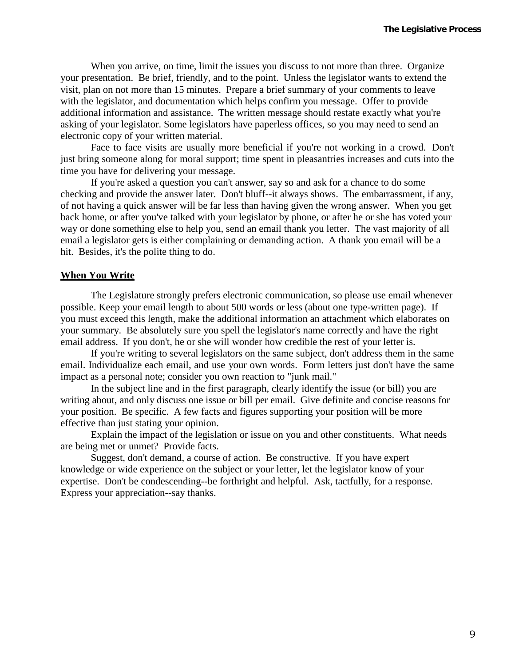When you arrive, on time, limit the issues you discuss to not more than three. Organize your presentation. Be brief, friendly, and to the point. Unless the legislator wants to extend the visit, plan on not more than 15 minutes. Prepare a brief summary of your comments to leave with the legislator, and documentation which helps confirm you message. Offer to provide additional information and assistance. The written message should restate exactly what you're asking of your legislator. Some legislators have paperless offices, so you may need to send an electronic copy of your written material.

Face to face visits are usually more beneficial if you're not working in a crowd. Don't just bring someone along for moral support; time spent in pleasantries increases and cuts into the time you have for delivering your message.

If you're asked a question you can't answer, say so and ask for a chance to do some checking and provide the answer later. Don't bluff--it always shows. The embarrassment, if any, of not having a quick answer will be far less than having given the wrong answer. When you get back home, or after you've talked with your legislator by phone, or after he or she has voted your way or done something else to help you, send an email thank you letter. The vast majority of all email a legislator gets is either complaining or demanding action. A thank you email will be a hit. Besides, it's the polite thing to do.

#### **When You Write**

The Legislature strongly prefers electronic communication, so please use email whenever possible. Keep your email length to about 500 words or less (about one type-written page). If you must exceed this length, make the additional information an attachment which elaborates on your summary. Be absolutely sure you spell the legislator's name correctly and have the right email address. If you don't, he or she will wonder how credible the rest of your letter is.

If you're writing to several legislators on the same subject, don't address them in the same email. Individualize each email, and use your own words. Form letters just don't have the same impact as a personal note; consider you own reaction to "junk mail."

In the subject line and in the first paragraph, clearly identify the issue (or bill) you are writing about, and only discuss one issue or bill per email. Give definite and concise reasons for your position. Be specific. A few facts and figures supporting your position will be more effective than just stating your opinion.

Explain the impact of the legislation or issue on you and other constituents. What needs are being met or unmet? Provide facts.

Suggest, don't demand, a course of action. Be constructive. If you have expert knowledge or wide experience on the subject or your letter, let the legislator know of your expertise. Don't be condescending--be forthright and helpful. Ask, tactfully, for a response. Express your appreciation--say thanks.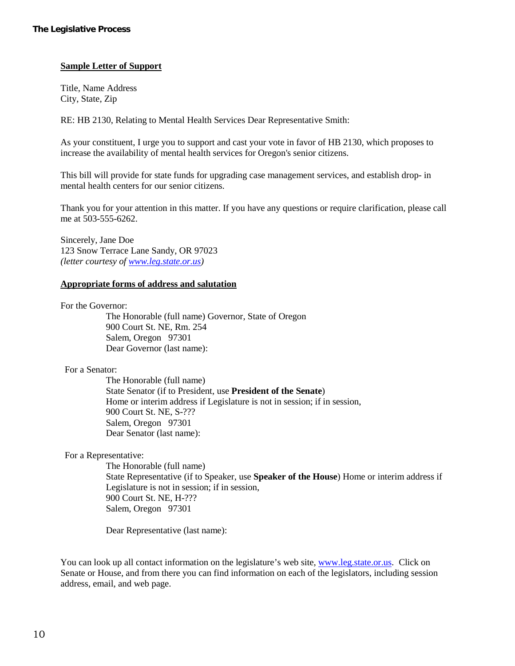# **Sample Letter of Support**

Title, Name Address City, State, Zip

RE: HB 2130, Relating to Mental Health Services Dear Representative Smith:

As your constituent, I urge you to support and cast your vote in favor of HB 2130, which proposes to increase the availability of mental health services for Oregon's senior citizens.

This bill will provide for state funds for upgrading case management services, and establish drop- in mental health centers for our senior citizens.

Thank you for your attention in this matter. If you have any questions or require clarification, please call me at 503-555-6262.

Sincerely, Jane Doe 123 Snow Terrace Lane Sandy, OR 97023 *(letter courtesy of www.leg.state.or.us)*

#### **Appropriate forms of address and salutation**

For the Governor:

The Honorable (full name) Governor, State of Oregon 900 Court St. NE, Rm. 254 Salem, Oregon 97301 Dear Governor (last name):

# For a Senator:

The Honorable (full name) State Senator (if to President, use **President of the Senate**) Home or interim address if Legislature is not in session; if in session, 900 Court St. NE, S-??? Salem, Oregon 97301 Dear Senator (last name):

For a Representative:

The Honorable (full name) State Representative (if to Speaker, use **Speaker of the House**) Home or interim address if Legislature is not in session; if in session, 900 Court St. NE, H-??? Salem, Oregon 97301

Dear Representative (last name):

You can look up all contact information on the legislature's web site, [www.leg.state.or.us.](http://www.leg.state.or.us/) Click on Senate or House, and from there you can find information on each of the legislators, including session address, email, and web page.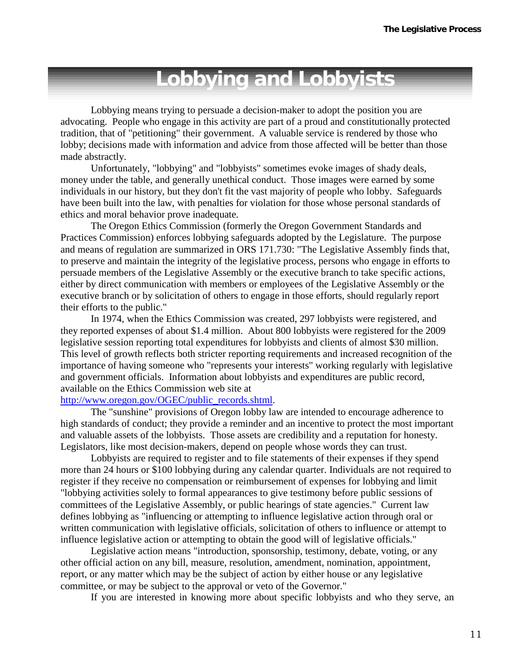# **Lobbying and Lobbyists**

Lobbying means trying to persuade a decision-maker to adopt the position you are advocating. People who engage in this activity are part of a proud and constitutionally protected tradition, that of "petitioning" their government. A valuable service is rendered by those who lobby; decisions made with information and advice from those affected will be better than those made abstractly.

Unfortunately, "lobbying" and "lobbyists" sometimes evoke images of shady deals, money under the table, and generally unethical conduct. Those images were earned by some individuals in our history, but they don't fit the vast majority of people who lobby. Safeguards have been built into the law, with penalties for violation for those whose personal standards of ethics and moral behavior prove inadequate.

The Oregon Ethics Commission (formerly the Oregon Government Standards and Practices Commission) enforces lobbying safeguards adopted by the Legislature. The purpose and means of regulation are summarized in ORS 171.730: "The Legislative Assembly finds that, to preserve and maintain the integrity of the legislative process, persons who engage in efforts to persuade members of the Legislative Assembly or the executive branch to take specific actions, either by direct communication with members or employees of the Legislative Assembly or the executive branch or by solicitation of others to engage in those efforts, should regularly report their efforts to the public."

In 1974, when the Ethics Commission was created, 297 lobbyists were registered, and they reported expenses of about \$1.4 million. About 800 lobbyists were registered for the 2009 legislative session reporting total expenditures for lobbyists and clients of almost \$30 million. This level of growth reflects both stricter reporting requirements and increased recognition of the importance of having someone who "represents your interests" working regularly with legislative and government officials. Information about lobbyists and expenditures are public record, available on the Ethics Commission web site at

# [http://www.oregon.gov/OGEC/public\\_records.shtml.](http://www.oregon.gov/OGEC/public_records.shtml)

The "sunshine" provisions of Oregon lobby law are intended to encourage adherence to high standards of conduct; they provide a reminder and an incentive to protect the most important and valuable assets of the lobbyists. Those assets are credibility and a reputation for honesty. Legislators, like most decision-makers, depend on people whose words they can trust.

Lobbyists are required to register and to file statements of their expenses if they spend more than 24 hours or \$100 lobbying during any calendar quarter. Individuals are not required to register if they receive no compensation or reimbursement of expenses for lobbying and limit "lobbying activities solely to formal appearances to give testimony before public sessions of committees of the Legislative Assembly, or public hearings of state agencies." Current law defines lobbying as "influencing or attempting to influence legislative action through oral or written communication with legislative officials, solicitation of others to influence or attempt to influence legislative action or attempting to obtain the good will of legislative officials."

Legislative action means "introduction, sponsorship, testimony, debate, voting, or any other official action on any bill, measure, resolution, amendment, nomination, appointment, report, or any matter which may be the subject of action by either house or any legislative committee, or may be subject to the approval or veto of the Governor."

If you are interested in knowing more about specific lobbyists and who they serve, an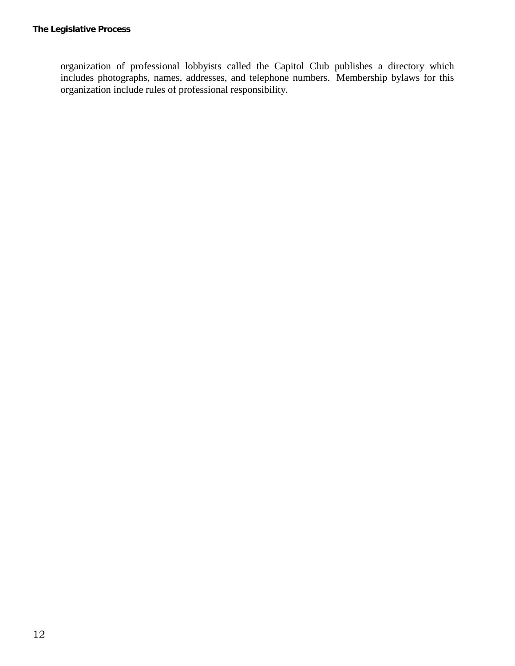organization of professional lobbyists called the Capitol Club publishes a directory which includes photographs, names, addresses, and telephone numbers. Membership bylaws for this organization include rules of professional responsibility.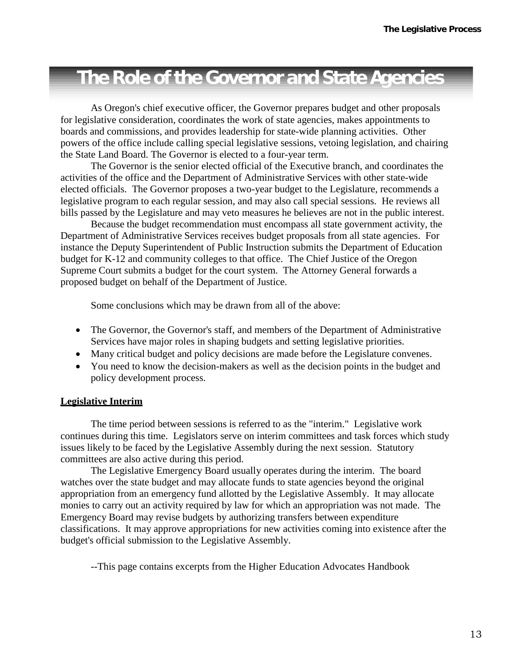# **The Role of the Governor and StateAgencies**

As Oregon's chief executive officer, the Governor prepares budget and other proposals for legislative consideration, coordinates the work of state agencies, makes appointments to boards and commissions, and provides leadership for state-wide planning activities. Other powers of the office include calling special legislative sessions, vetoing legislation, and chairing the State Land Board. The Governor is elected to a four-year term.

The Governor is the senior elected official of the Executive branch, and coordinates the activities of the office and the Department of Administrative Services with other state-wide elected officials. The Governor proposes a two-year budget to the Legislature, recommends a legislative program to each regular session, and may also call special sessions. He reviews all bills passed by the Legislature and may veto measures he believes are not in the public interest.

Because the budget recommendation must encompass all state government activity, the Department of Administrative Services receives budget proposals from all state agencies. For instance the Deputy Superintendent of Public Instruction submits the Department of Education budget for K-12 and community colleges to that office. The Chief Justice of the Oregon Supreme Court submits a budget for the court system. The Attorney General forwards a proposed budget on behalf of the Department of Justice.

Some conclusions which may be drawn from all of the above:

- The Governor, the Governor's staff, and members of the Department of Administrative Services have major roles in shaping budgets and setting legislative priorities.
- Many critical budget and policy decisions are made before the Legislature convenes.
- You need to know the decision-makers as well as the decision points in the budget and policy development process.

# **Legislative Interim**

The time period between sessions is referred to as the "interim." Legislative work continues during this time. Legislators serve on interim committees and task forces which study issues likely to be faced by the Legislative Assembly during the next session. Statutory committees are also active during this period.

The Legislative Emergency Board usually operates during the interim. The board watches over the state budget and may allocate funds to state agencies beyond the original appropriation from an emergency fund allotted by the Legislative Assembly. It may allocate monies to carry out an activity required by law for which an appropriation was not made. The Emergency Board may revise budgets by authorizing transfers between expenditure classifications. It may approve appropriations for new activities coming into existence after the budget's official submission to the Legislative Assembly.

--This page contains excerpts from the Higher Education Advocates Handbook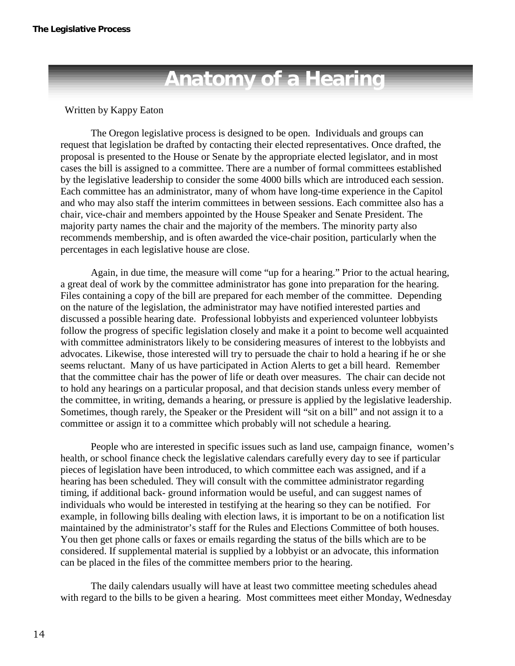# **Anatomy of a Hearing**

# Written by Kappy Eaton

The Oregon legislative process is designed to be open. Individuals and groups can request that legislation be drafted by contacting their elected representatives. Once drafted, the proposal is presented to the House or Senate by the appropriate elected legislator, and in most cases the bill is assigned to a committee. There are a number of formal committees established by the legislative leadership to consider the some 4000 bills which are introduced each session. Each committee has an administrator, many of whom have long-time experience in the Capitol and who may also staff the interim committees in between sessions. Each committee also has a chair, vice-chair and members appointed by the House Speaker and Senate President. The majority party names the chair and the majority of the members. The minority party also recommends membership, and is often awarded the vice-chair position, particularly when the percentages in each legislative house are close.

Again, in due time, the measure will come "up for a hearing." Prior to the actual hearing, a great deal of work by the committee administrator has gone into preparation for the hearing. Files containing a copy of the bill are prepared for each member of the committee. Depending on the nature of the legislation, the administrator may have notified interested parties and discussed a possible hearing date. Professional lobbyists and experienced volunteer lobbyists follow the progress of specific legislation closely and make it a point to become well acquainted with committee administrators likely to be considering measures of interest to the lobbyists and advocates. Likewise, those interested will try to persuade the chair to hold a hearing if he or she seems reluctant. Many of us have participated in Action Alerts to get a bill heard. Remember that the committee chair has the power of life or death over measures. The chair can decide not to hold any hearings on a particular proposal, and that decision stands unless every member of the committee, in writing, demands a hearing, or pressure is applied by the legislative leadership. Sometimes, though rarely, the Speaker or the President will "sit on a bill" and not assign it to a committee or assign it to a committee which probably will not schedule a hearing.

People who are interested in specific issues such as land use, campaign finance, women's health, or school finance check the legislative calendars carefully every day to see if particular pieces of legislation have been introduced, to which committee each was assigned, and if a hearing has been scheduled. They will consult with the committee administrator regarding timing, if additional back- ground information would be useful, and can suggest names of individuals who would be interested in testifying at the hearing so they can be notified. For example, in following bills dealing with election laws, it is important to be on a notification list maintained by the administrator's staff for the Rules and Elections Committee of both houses. You then get phone calls or faxes or emails regarding the status of the bills which are to be considered. If supplemental material is supplied by a lobbyist or an advocate, this information can be placed in the files of the committee members prior to the hearing.

The daily calendars usually will have at least two committee meeting schedules ahead with regard to the bills to be given a hearing. Most committees meet either Monday, Wednesday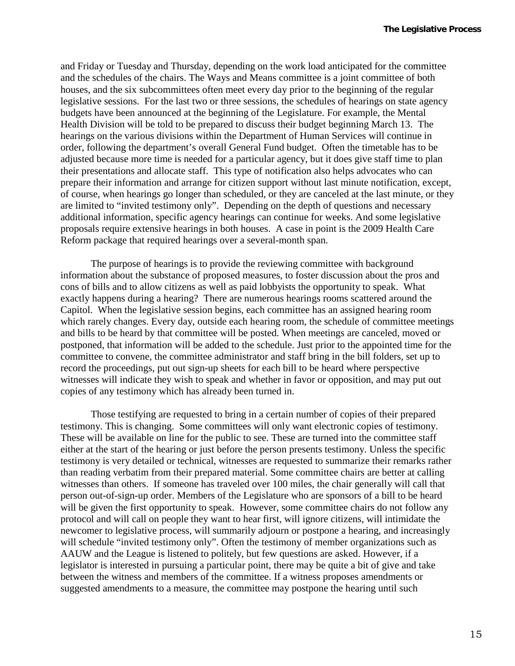and Friday or Tuesday and Thursday, depending on the work load anticipated for the committee and the schedules of the chairs. The Ways and Means committee is a joint committee of both houses, and the six subcommittees often meet every day prior to the beginning of the regular legislative sessions. For the last two or three sessions, the schedules of hearings on state agency budgets have been announced at the beginning of the Legislature. For example, the Mental Health Division will be told to be prepared to discuss their budget beginning March 13. The hearings on the various divisions within the Department of Human Services will continue in order, following the department's overall General Fund budget. Often the timetable has to be adjusted because more time is needed for a particular agency, but it does give staff time to plan their presentations and allocate staff. This type of notification also helps advocates who can prepare their information and arrange for citizen support without last minute notification, except, of course, when hearings go longer than scheduled, or they are canceled at the last minute, or they are limited to "invited testimony only". Depending on the depth of questions and necessary additional information, specific agency hearings can continue for weeks. And some legislative proposals require extensive hearings in both houses. A case in point is the 2009 Health Care Reform package that required hearings over a several-month span.

The purpose of hearings is to provide the reviewing committee with background information about the substance of proposed measures, to foster discussion about the pros and cons of bills and to allow citizens as well as paid lobbyists the opportunity to speak. What exactly happens during a hearing? There are numerous hearings rooms scattered around the Capitol. When the legislative session begins, each committee has an assigned hearing room which rarely changes. Every day, outside each hearing room, the schedule of committee meetings and bills to be heard by that committee will be posted. When meetings are canceled, moved or postponed, that information will be added to the schedule. Just prior to the appointed time for the committee to convene, the committee administrator and staff bring in the bill folders, set up to record the proceedings, put out sign-up sheets for each bill to be heard where perspective witnesses will indicate they wish to speak and whether in favor or opposition, and may put out copies of any testimony which has already been turned in.

Those testifying are requested to bring in a certain number of copies of their prepared testimony. This is changing. Some committees will only want electronic copies of testimony. These will be available on line for the public to see. These are turned into the committee staff either at the start of the hearing or just before the person presents testimony. Unless the specific testimony is very detailed or technical, witnesses are requested to summarize their remarks rather than reading verbatim from their prepared material. Some committee chairs are better at calling witnesses than others. If someone has traveled over 100 miles, the chair generally will call that person out-of-sign-up order. Members of the Legislature who are sponsors of a bill to be heard will be given the first opportunity to speak. However, some committee chairs do not follow any protocol and will call on people they want to hear first, will ignore citizens, will intimidate the newcomer to legislative process, will summarily adjourn or postpone a hearing, and increasingly will schedule "invited testimony only". Often the testimony of member organizations such as AAUW and the League is listened to politely, but few questions are asked. However, if a legislator is interested in pursuing a particular point, there may be quite a bit of give and take between the witness and members of the committee. If a witness proposes amendments or suggested amendments to a measure, the committee may postpone the hearing until such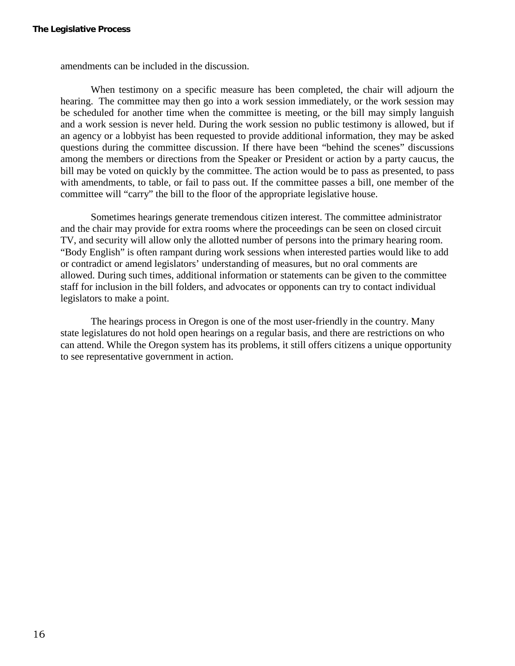amendments can be included in the discussion.

When testimony on a specific measure has been completed, the chair will adjourn the hearing. The committee may then go into a work session immediately, or the work session may be scheduled for another time when the committee is meeting, or the bill may simply languish and a work session is never held. During the work session no public testimony is allowed, but if an agency or a lobbyist has been requested to provide additional information, they may be asked questions during the committee discussion. If there have been "behind the scenes" discussions among the members or directions from the Speaker or President or action by a party caucus, the bill may be voted on quickly by the committee. The action would be to pass as presented, to pass with amendments, to table, or fail to pass out. If the committee passes a bill, one member of the committee will "carry" the bill to the floor of the appropriate legislative house.

Sometimes hearings generate tremendous citizen interest. The committee administrator and the chair may provide for extra rooms where the proceedings can be seen on closed circuit TV, and security will allow only the allotted number of persons into the primary hearing room. "Body English" is often rampant during work sessions when interested parties would like to add or contradict or amend legislators' understanding of measures, but no oral comments are allowed. During such times, additional information or statements can be given to the committee staff for inclusion in the bill folders, and advocates or opponents can try to contact individual legislators to make a point.

The hearings process in Oregon is one of the most user-friendly in the country. Many state legislatures do not hold open hearings on a regular basis, and there are restrictions on who can attend. While the Oregon system has its problems, it still offers citizens a unique opportunity to see representative government in action.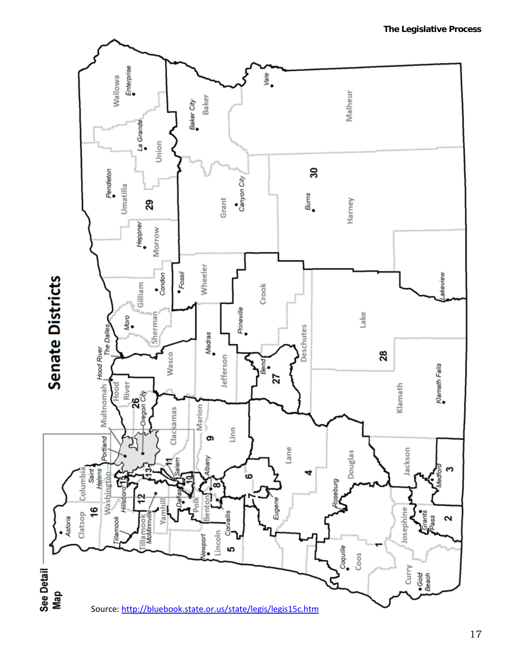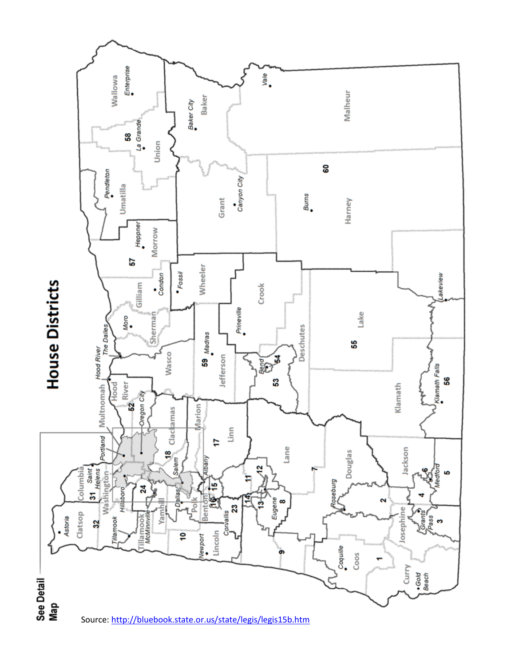

Source:<http://bluebook.state.or.us/state/legis/legis15b.htm>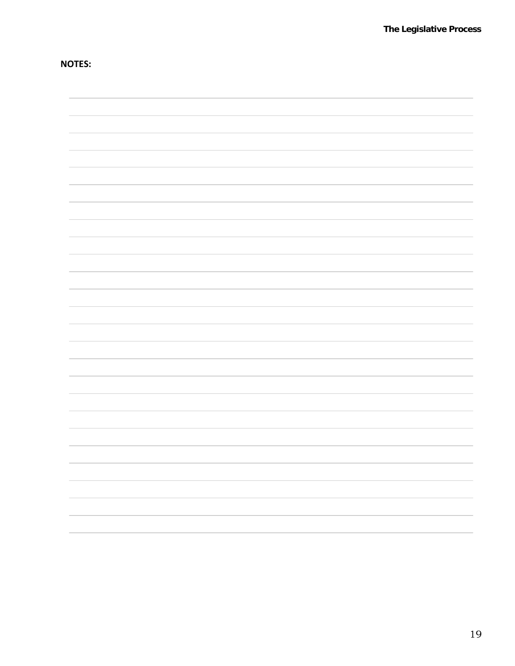**NOTES:**

| $\sim$ |
|--------|
|        |
|        |
|        |
|        |
|        |
|        |